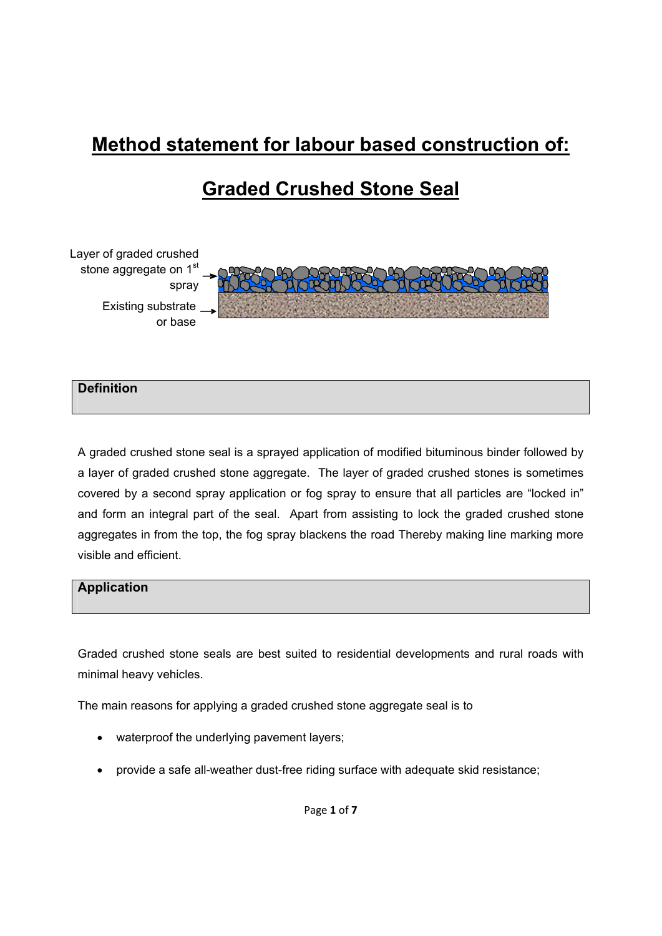# **Method statement for labour based construction of:**

# **Graded Crushed Stone Seal**



# **Definition**

A graded crushed stone seal is a sprayed application of modified bituminous binder followed by a layer of graded crushed stone aggregate. The layer of graded crushed stones is sometimes covered by a second spray application or fog spray to ensure that all particles are "locked in" and form an integral part of the seal. Apart from assisting to lock the graded crushed stone aggregates in from the top, the fog spray blackens the road Thereby making line marking more visible and efficient.

### **Application**

Graded crushed stone seals are best suited to residential developments and rural roads with minimal heavy vehicles.

The main reasons for applying a graded crushed stone aggregate seal is to

- waterproof the underlying pavement layers;
- provide a safe all-weather dust-free riding surface with adequate skid resistance;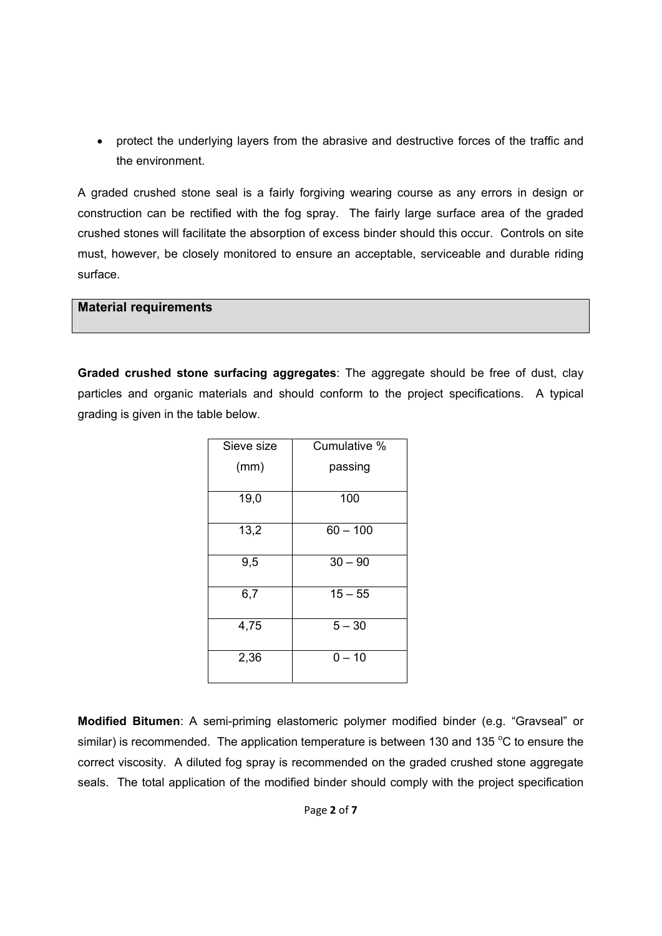• protect the underlying layers from the abrasive and destructive forces of the traffic and the environment.

A graded crushed stone seal is a fairly forgiving wearing course as any errors in design or construction can be rectified with the fog spray. The fairly large surface area of the graded crushed stones will facilitate the absorption of excess binder should this occur. Controls on site must, however, be closely monitored to ensure an acceptable, serviceable and durable riding surface.

## **Material requirements**

**Graded crushed stone surfacing aggregates**: The aggregate should be free of dust, clay particles and organic materials and should conform to the project specifications. A typical grading is given in the table below.

| Sieve size | Cumulative % |
|------------|--------------|
| (mm)       | passing      |
| 19,0       | 100          |
| 13,2       | $60 - 100$   |
| 9,5        | $30 - 90$    |
| 6,7        | $15 - 55$    |
| 4,75       | $5 - 30$     |
| 2,36       | $0 - 10$     |

**Modified Bitumen**: A semi-priming elastomeric polymer modified binder (e.g. "Gravseal" or similar) is recommended. The application temperature is between 130 and 135  $\degree$ C to ensure the correct viscosity. A diluted fog spray is recommended on the graded crushed stone aggregate seals. The total application of the modified binder should comply with the project specification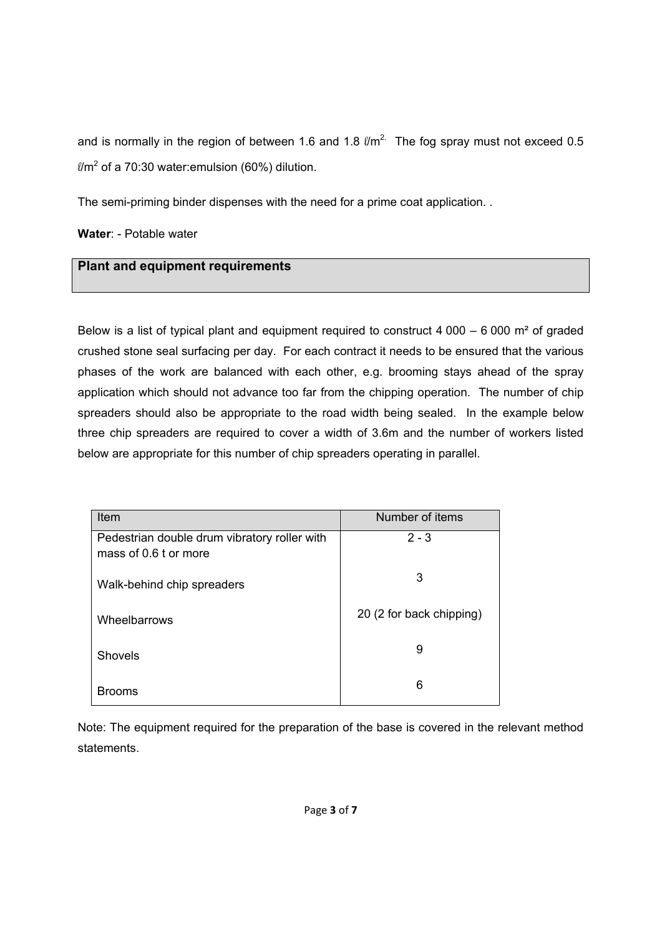and is normally in the region of between 1.6 and 1.8  $\ell$ m<sup>2.</sup> The fog spray must not exceed 0.5  $\ell$ /m<sup>2</sup> of a 70:30 water:emulsion (60%) dilution.

The semi-priming binder dispenses with the need for a prime coat application. .

**Water**: - Potable water

## **Plant and equipment requirements**

Below is a list of typical plant and equipment required to construct 4 000 – 6 000  $\text{m}^2$  of graded crushed stone seal surfacing per day. For each contract it needs to be ensured that the various phases of the work are balanced with each other, e.g. brooming stays ahead of the spray application which should not advance too far from the chipping operation. The number of chip spreaders should also be appropriate to the road width being sealed. In the example below three chip spreaders are required to cover a width of 3.6m and the number of workers listed below are appropriate for this number of chip spreaders operating in parallel.

| Item                                                                  | Number of items          |
|-----------------------------------------------------------------------|--------------------------|
| Pedestrian double drum vibratory roller with<br>mass of 0.6 t or more | $2 - 3$                  |
| Walk-behind chip spreaders                                            | 3                        |
| Wheelbarrows                                                          | 20 (2 for back chipping) |
| Shovels                                                               | 9                        |
| <b>Brooms</b>                                                         | 6                        |

Note: The equipment required for the preparation of the base is covered in the relevant method statements.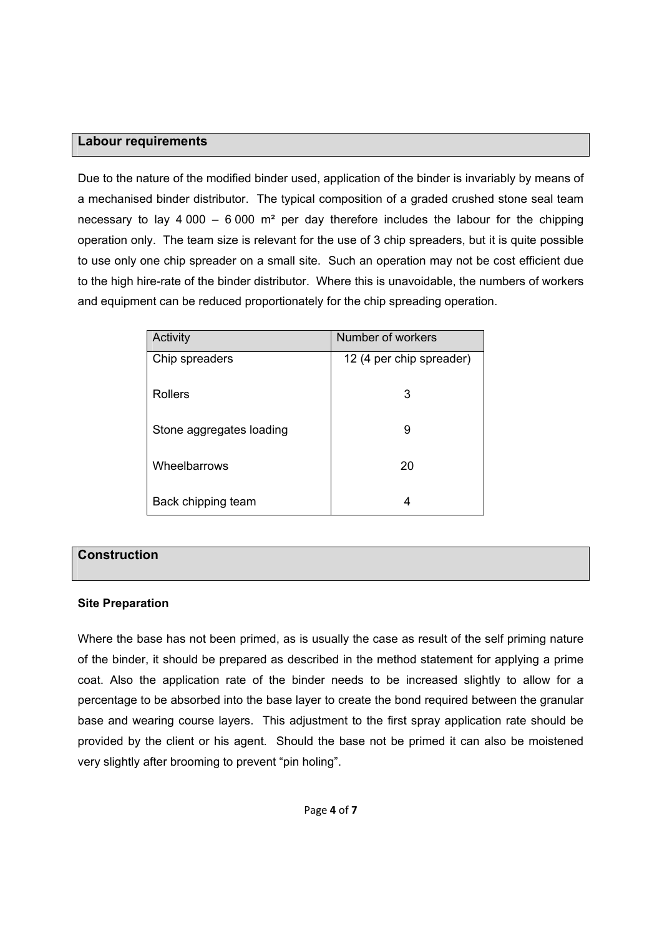### **Labour requirements**

Due to the nature of the modified binder used, application of the binder is invariably by means of a mechanised binder distributor. The typical composition of a graded crushed stone seal team necessary to lay 4 000 – 6 000  $\text{m}^2$  per day therefore includes the labour for the chipping operation only. The team size is relevant for the use of 3 chip spreaders, but it is quite possible to use only one chip spreader on a small site. Such an operation may not be cost efficient due to the high hire-rate of the binder distributor. Where this is unavoidable, the numbers of workers and equipment can be reduced proportionately for the chip spreading operation.

| Activity                 | Number of workers        |
|--------------------------|--------------------------|
| Chip spreaders           | 12 (4 per chip spreader) |
| <b>Rollers</b>           | 3                        |
| Stone aggregates loading | 9                        |
| Wheelbarrows             | 20                       |
| Back chipping team       | 4                        |

## **Construction**

### **Site Preparation**

Where the base has not been primed, as is usually the case as result of the self priming nature of the binder, it should be prepared as described in the method statement for applying a prime coat. Also the application rate of the binder needs to be increased slightly to allow for a percentage to be absorbed into the base layer to create the bond required between the granular base and wearing course layers. This adjustment to the first spray application rate should be provided by the client or his agent. Should the base not be primed it can also be moistened very slightly after brooming to prevent "pin holing".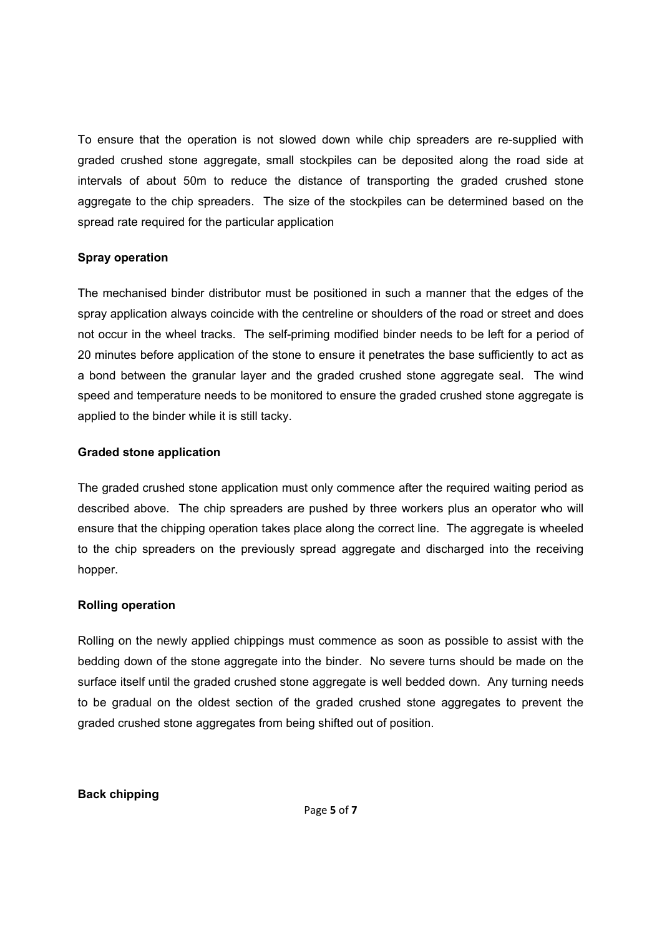To ensure that the operation is not slowed down while chip spreaders are re-supplied with graded crushed stone aggregate, small stockpiles can be deposited along the road side at intervals of about 50m to reduce the distance of transporting the graded crushed stone aggregate to the chip spreaders. The size of the stockpiles can be determined based on the spread rate required for the particular application

### **Spray operation**

The mechanised binder distributor must be positioned in such a manner that the edges of the spray application always coincide with the centreline or shoulders of the road or street and does not occur in the wheel tracks. The self-priming modified binder needs to be left for a period of 20 minutes before application of the stone to ensure it penetrates the base sufficiently to act as a bond between the granular layer and the graded crushed stone aggregate seal. The wind speed and temperature needs to be monitored to ensure the graded crushed stone aggregate is applied to the binder while it is still tacky.

#### **Graded stone application**

The graded crushed stone application must only commence after the required waiting period as described above. The chip spreaders are pushed by three workers plus an operator who will ensure that the chipping operation takes place along the correct line. The aggregate is wheeled to the chip spreaders on the previously spread aggregate and discharged into the receiving hopper.

#### **Rolling operation**

Rolling on the newly applied chippings must commence as soon as possible to assist with the bedding down of the stone aggregate into the binder. No severe turns should be made on the surface itself until the graded crushed stone aggregate is well bedded down. Any turning needs to be gradual on the oldest section of the graded crushed stone aggregates to prevent the graded crushed stone aggregates from being shifted out of position.

#### **Back chipping**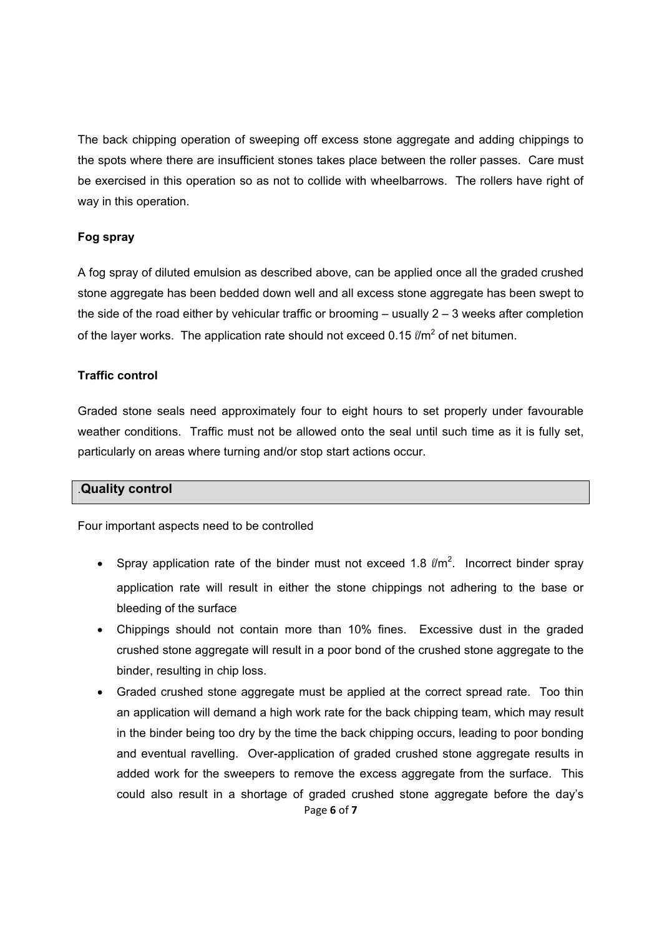The back chipping operation of sweeping off excess stone aggregate and adding chippings to the spots where there are insufficient stones takes place between the roller passes. Care must be exercised in this operation so as not to collide with wheelbarrows. The rollers have right of way in this operation.

### **Fog spray**

A fog spray of diluted emulsion as described above, can be applied once all the graded crushed stone aggregate has been bedded down well and all excess stone aggregate has been swept to the side of the road either by vehicular traffic or brooming – usually 2 – 3 weeks after completion of the layer works. The application rate should not exceed 0.15  $\ell$ m<sup>2</sup> of net bitumen.

## **Traffic control**

Graded stone seals need approximately four to eight hours to set properly under favourable weather conditions. Traffic must not be allowed onto the seal until such time as it is fully set, particularly on areas where turning and/or stop start actions occur.

### .**Quality control**

Four important aspects need to be controlled

- Spray application rate of the binder must not exceed 1.8  $\ell/m^2$ . Incorrect binder spray application rate will result in either the stone chippings not adhering to the base or bleeding of the surface
- Chippings should not contain more than 10% fines. Excessive dust in the graded crushed stone aggregate will result in a poor bond of the crushed stone aggregate to the binder, resulting in chip loss.
- Page **6** of **7** • Graded crushed stone aggregate must be applied at the correct spread rate. Too thin an application will demand a high work rate for the back chipping team, which may result in the binder being too dry by the time the back chipping occurs, leading to poor bonding and eventual ravelling. Over-application of graded crushed stone aggregate results in added work for the sweepers to remove the excess aggregate from the surface. This could also result in a shortage of graded crushed stone aggregate before the day's